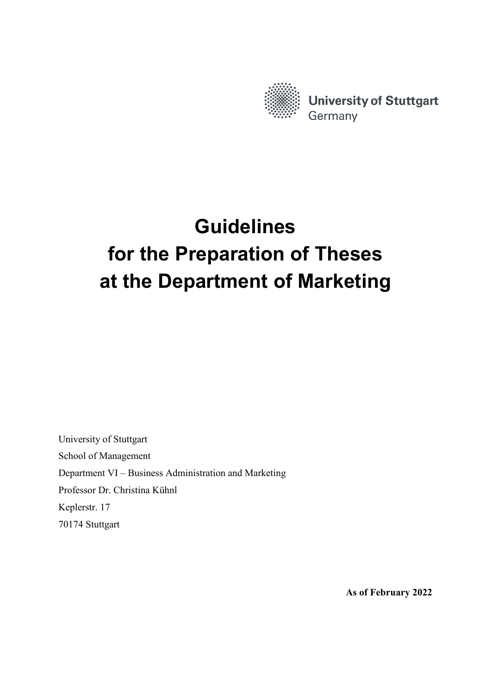

# **Guidelines for the Preparation of Theses at the Department of Marketing**

University of Stuttgart School of Management Department VI – Business Administration and Marketing Professor Dr. Christina Kühnl Keplerstr. 17 70174 Stuttgart

**As of February 2022**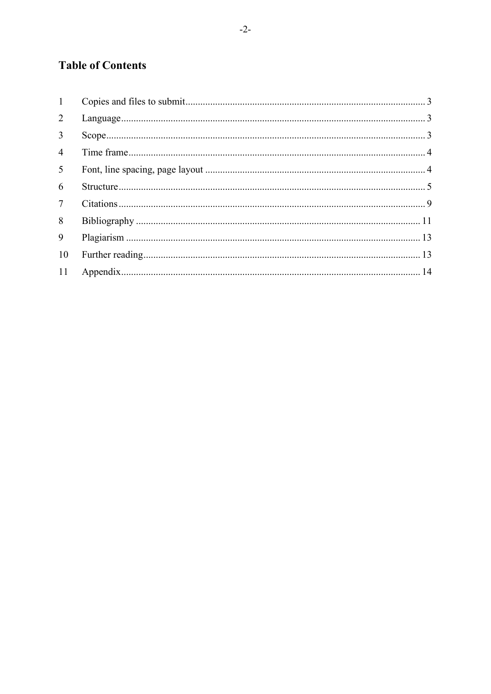# **Table of Contents**

| 1               |  |
|-----------------|--|
| $\overline{2}$  |  |
| $\overline{3}$  |  |
| $\overline{4}$  |  |
| 5 <sup>5</sup>  |  |
| 6               |  |
| $7\overline{ }$ |  |
| 8               |  |
| 9               |  |
| 10              |  |
| 11              |  |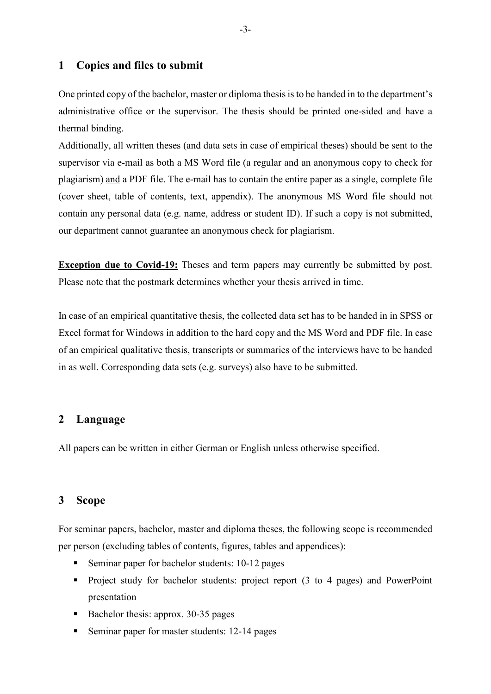# <span id="page-2-0"></span>**1 Copies and files to submit**

One printed copy of the bachelor, master or diploma thesis is to be handed in to the department's administrative office or the supervisor. The thesis should be printed one-sided and have a thermal binding.

Additionally, all written theses (and data sets in case of empirical theses) should be sent to the supervisor via e-mail as both a MS Word file (a regular and an anonymous copy to check for plagiarism) and a PDF file. The e-mail has to contain the entire paper as a single, complete file (cover sheet, table of contents, text, appendix). The anonymous MS Word file should not contain any personal data (e.g. name, address or student ID). If such a copy is not submitted, our department cannot guarantee an anonymous check for plagiarism.

**Exception due to Covid-19:** Theses and term papers may currently be submitted by post. Please note that the postmark determines whether your thesis arrived in time.

In case of an empirical quantitative thesis, the collected data set has to be handed in in SPSS or Excel format for Windows in addition to the hard copy and the MS Word and PDF file. In case of an empirical qualitative thesis, transcripts or summaries of the interviews have to be handed in as well. Corresponding data sets (e.g. surveys) also have to be submitted.

# <span id="page-2-1"></span>**2 Language**

All papers can be written in either German or English unless otherwise specified.

# <span id="page-2-2"></span>**3 Scope**

For seminar papers, bachelor, master and diploma theses, the following scope is recommended per person (excluding tables of contents, figures, tables and appendices):

- Seminar paper for bachelor students: 10-12 pages
- Project study for bachelor students: project report (3 to 4 pages) and PowerPoint presentation
- Bachelor thesis: approx. 30-35 pages
- Seminar paper for master students: 12-14 pages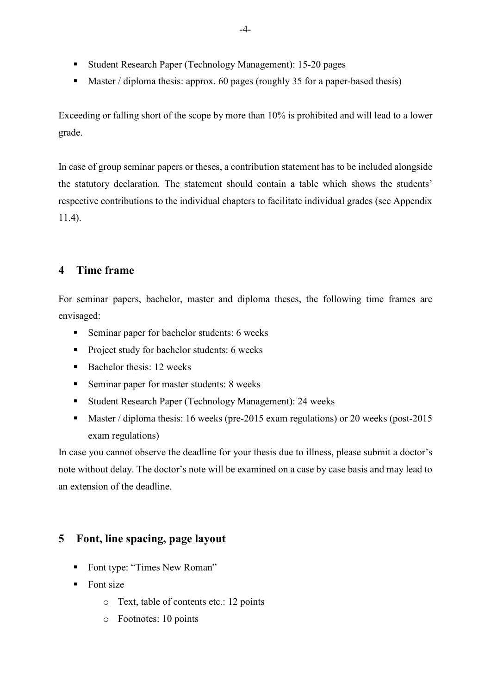- Student Research Paper (Technology Management): 15-20 pages
- Master / diploma thesis: approx. 60 pages (roughly 35 for a paper-based thesis)

Exceeding or falling short of the scope by more than 10% is prohibited and will lead to a lower grade.

In case of group seminar papers or theses, a contribution statement has to be included alongside the statutory declaration. The statement should contain a table which shows the students' respective contributions to the individual chapters to facilitate individual grades (see Appendix 11.4).

# <span id="page-3-0"></span>**4 Time frame**

For seminar papers, bachelor, master and diploma theses, the following time frames are envisaged:

- **Seminar paper for bachelor students: 6 weeks**
- **Project study for bachelor students: 6 weeks**
- $\blacksquare$  Bachelor thesis: 12 weeks
- Seminar paper for master students: 8 weeks
- Student Research Paper (Technology Management): 24 weeks
- Master / diploma thesis: 16 weeks (pre-2015 exam regulations) or 20 weeks (post-2015 exam regulations)

In case you cannot observe the deadline for your thesis due to illness, please submit a doctor's note without delay. The doctor's note will be examined on a case by case basis and may lead to an extension of the deadline.

# <span id="page-3-1"></span>**5 Font, line spacing, page layout**

- Font type: "Times New Roman"
- $\blacksquare$  Font size
	- o Text, table of contents etc.: 12 points
	- o Footnotes: 10 points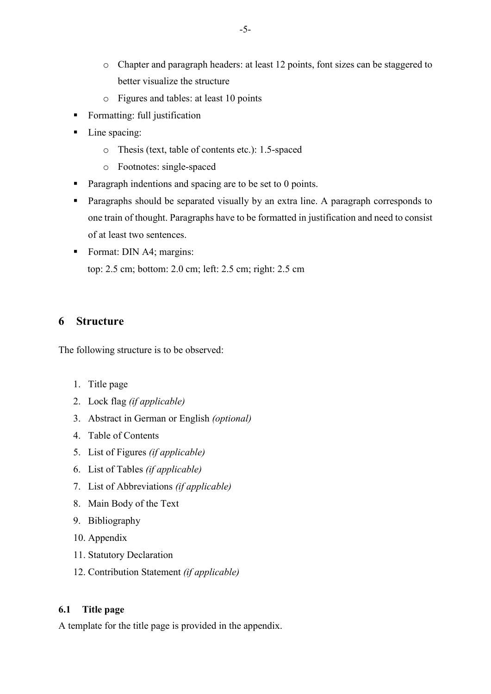- o Chapter and paragraph headers: at least 12 points, font sizes can be staggered to better visualize the structure
- o Figures and tables: at least 10 points
- **Formatting: full justification**
- Line spacing:
	- o Thesis (text, table of contents etc.): 1.5-spaced
	- o Footnotes: single-spaced
- **Paragraph indentions and spacing are to be set to 0 points.**
- **Paragraphs should be separated visually by an extra line. A paragraph corresponds to** one train of thought. Paragraphs have to be formatted in justification and need to consist of at least two sentences.
- Format: DIN A4; margins: top: 2.5 cm; bottom: 2.0 cm; left: 2.5 cm; right: 2.5 cm

# <span id="page-4-0"></span>**6 Structure**

The following structure is to be observed:

- 1. Title page
- 2. Lock flag *(if applicable)*
- 3. Abstract in German or English *(optional)*
- 4. Table of Contents
- 5. List of Figures *(if applicable)*
- 6. List of Tables *(if applicable)*
- 7. List of Abbreviations *(if applicable)*
- 8. Main Body of the Text
- 9. Bibliography
- 10. Appendix
- 11. Statutory Declaration
- 12. Contribution Statement *(if applicable)*

# **6.1 Title page**

A template for the title page is provided in the appendix.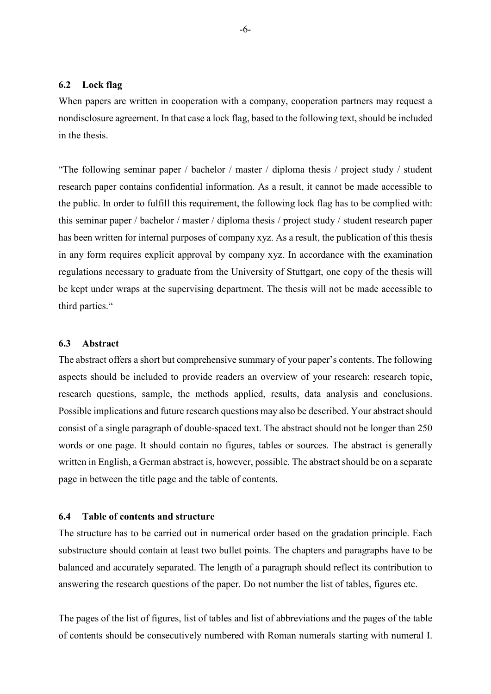#### **6.2 Lock flag**

When papers are written in cooperation with a company, cooperation partners may request a nondisclosure agreement. In that case a lock flag, based to the following text, should be included in the thesis.

"The following seminar paper / bachelor / master / diploma thesis / project study / student research paper contains confidential information. As a result, it cannot be made accessible to the public. In order to fulfill this requirement, the following lock flag has to be complied with: this seminar paper / bachelor / master / diploma thesis / project study / student research paper has been written for internal purposes of company xyz. As a result, the publication of this thesis in any form requires explicit approval by company xyz. In accordance with the examination regulations necessary to graduate from the University of Stuttgart, one copy of the thesis will be kept under wraps at the supervising department. The thesis will not be made accessible to third parties."

#### **6.3 Abstract**

The abstract offers a short but comprehensive summary of your paper's contents. The following aspects should be included to provide readers an overview of your research: research topic, research questions, sample, the methods applied, results, data analysis and conclusions. Possible implications and future research questions may also be described. Your abstract should consist of a single paragraph of double-spaced text. The abstract should not be longer than 250 words or one page. It should contain no figures, tables or sources. The abstract is generally written in English, a German abstract is, however, possible. The abstract should be on a separate page in between the title page and the table of contents.

#### **6.4 Table of contents and structure**

The structure has to be carried out in numerical order based on the gradation principle. Each substructure should contain at least two bullet points. The chapters and paragraphs have to be balanced and accurately separated. The length of a paragraph should reflect its contribution to answering the research questions of the paper. Do not number the list of tables, figures etc.

The pages of the list of figures, list of tables and list of abbreviations and the pages of the table of contents should be consecutively numbered with Roman numerals starting with numeral I.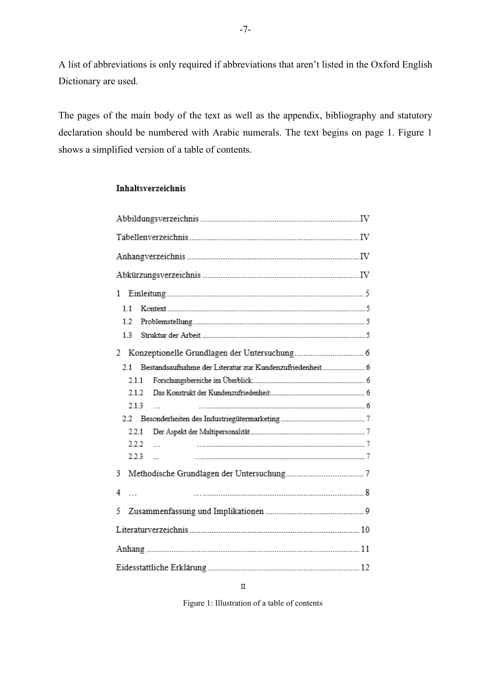A list of abbreviations is only required if abbreviations that aren't listed in the Oxford English Dictionary are used.

The pages of the main body of the text as well as the appendix, bibliography and statutory declaration should be numbered with Arabic numerals. The text begins on page 1. Figure 1 shows a simplified version of a table of contents.

#### **Inhaltsverzeichnis**

| 1                     |  |  |  |  |  |  |  |  |
|-----------------------|--|--|--|--|--|--|--|--|
| 11                    |  |  |  |  |  |  |  |  |
| 1.2                   |  |  |  |  |  |  |  |  |
| 13                    |  |  |  |  |  |  |  |  |
| 2                     |  |  |  |  |  |  |  |  |
| $21 -$                |  |  |  |  |  |  |  |  |
| 2.1.1                 |  |  |  |  |  |  |  |  |
| 212                   |  |  |  |  |  |  |  |  |
| 2.1.3<br>$\mathbf{r}$ |  |  |  |  |  |  |  |  |
|                       |  |  |  |  |  |  |  |  |
| 2.2.1                 |  |  |  |  |  |  |  |  |
| 2.2.2<br>$\ddotsc$    |  |  |  |  |  |  |  |  |
| 2.2.3<br>$\sim$       |  |  |  |  |  |  |  |  |
| 3                     |  |  |  |  |  |  |  |  |
| 4<br>$\overline{a}$   |  |  |  |  |  |  |  |  |
| 5                     |  |  |  |  |  |  |  |  |
|                       |  |  |  |  |  |  |  |  |
|                       |  |  |  |  |  |  |  |  |
|                       |  |  |  |  |  |  |  |  |

 $\rm _{II}$ 

Figure 1: Illustration of a table of contents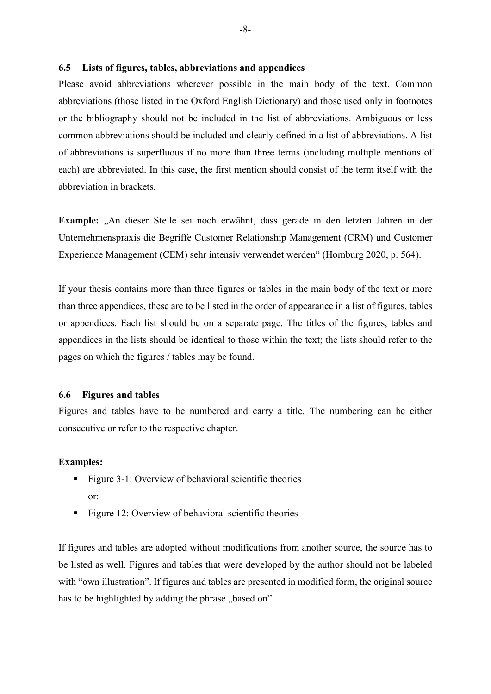#### **6.5 Lists of figures, tables, abbreviations and appendices**

Please avoid abbreviations wherever possible in the main body of the text. Common abbreviations (those listed in the Oxford English Dictionary) and those used only in footnotes or the bibliography should not be included in the list of abbreviations. Ambiguous or less common abbreviations should be included and clearly defined in a list of abbreviations. A list of abbreviations is superfluous if no more than three terms (including multiple mentions of each) are abbreviated. In this case, the first mention should consist of the term itself with the abbreviation in brackets.

**Example:** "An dieser Stelle sei noch erwähnt, dass gerade in den letzten Jahren in der Unternehmenspraxis die Begriffe Customer Relationship Management (CRM) und Customer Experience Management (CEM) sehr intensiv verwendet werden" (Homburg 2020, p. 564).

If your thesis contains more than three figures or tables in the main body of the text or more than three appendices, these are to be listed in the order of appearance in a list of figures, tables or appendices. Each list should be on a separate page. The titles of the figures, tables and appendices in the lists should be identical to those within the text; the lists should refer to the pages on which the figures / tables may be found.

#### **6.6 Figures and tables**

Figures and tables have to be numbered and carry a title. The numbering can be either consecutive or refer to the respective chapter.

#### **Examples:**

- **Figure 3-1: Overview of behavioral scientific theories** or:
- **Figure 12: Overview of behavioral scientific theories**

If figures and tables are adopted without modifications from another source, the source has to be listed as well. Figures and tables that were developed by the author should not be labeled with "own illustration". If figures and tables are presented in modified form, the original source has to be highlighted by adding the phrase "based on".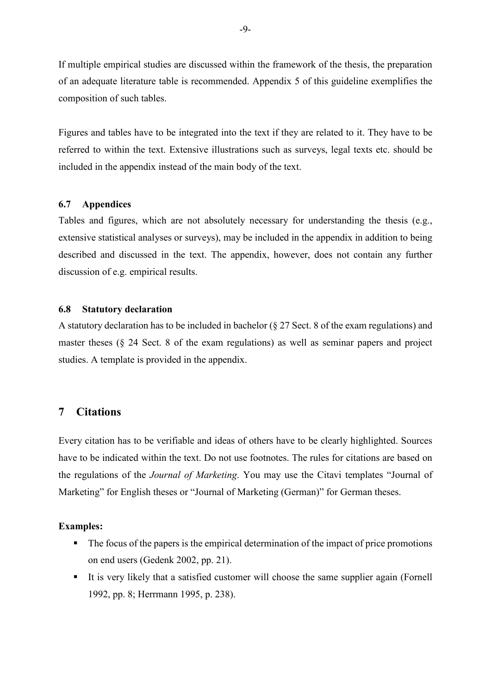If multiple empirical studies are discussed within the framework of the thesis, the preparation of an adequate literature table is recommended. Appendix 5 of this guideline exemplifies the composition of such tables.

Figures and tables have to be integrated into the text if they are related to it. They have to be referred to within the text. Extensive illustrations such as surveys, legal texts etc. should be included in the appendix instead of the main body of the text.

#### **6.7 Appendices**

Tables and figures, which are not absolutely necessary for understanding the thesis (e.g., extensive statistical analyses or surveys), may be included in the appendix in addition to being described and discussed in the text. The appendix, however, does not contain any further discussion of e.g. empirical results.

#### **6.8 Statutory declaration**

A statutory declaration has to be included in bachelor (§ 27 Sect. 8 of the exam regulations) and master theses (§ 24 Sect. 8 of the exam regulations) as well as seminar papers and project studies. A template is provided in the appendix.

# <span id="page-8-0"></span>**7 Citations**

Every citation has to be verifiable and ideas of others have to be clearly highlighted. Sources have to be indicated within the text. Do not use footnotes. The rules for citations are based on the regulations of the *Journal of Marketing*. You may use the Citavi templates "Journal of Marketing" for English theses or "Journal of Marketing (German)" for German theses.

#### **Examples:**

- The focus of the papers is the empirical determination of the impact of price promotions on end users (Gedenk 2002, pp. 21).
- It is very likely that a satisfied customer will choose the same supplier again (Fornell 1992, pp. 8; Herrmann 1995, p. 238).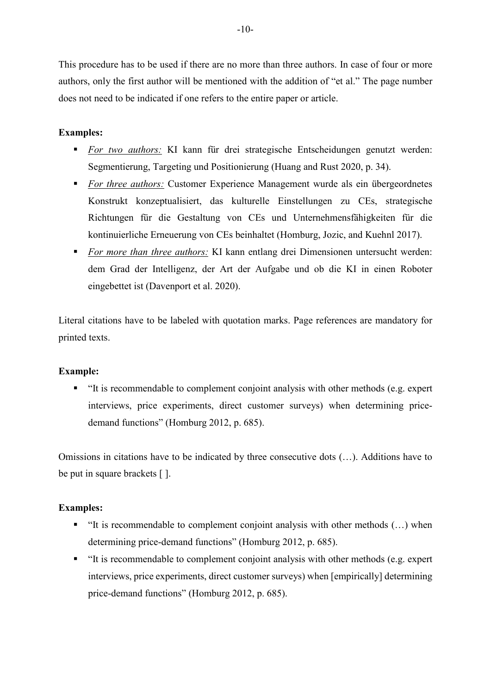This procedure has to be used if there are no more than three authors. In case of four or more authors, only the first author will be mentioned with the addition of "et al." The page number does not need to be indicated if one refers to the entire paper or article.

# **Examples:**

- *For two authors:* KI kann für drei strategische Entscheidungen genutzt werden: Segmentierung, Targeting und Positionierung (Huang and Rust 2020, p. 34).
- **For three authors:** Customer Experience Management wurde als ein übergeordnetes Konstrukt konzeptualisiert, das kulturelle Einstellungen zu CEs, strategische Richtungen für die Gestaltung von CEs und Unternehmensfähigkeiten für die kontinuierliche Erneuerung von CEs beinhaltet (Homburg, Jozic, and Kuehnl 2017).
- *For more than three authors:* KI kann entlang drei Dimensionen untersucht werden: dem Grad der Intelligenz, der Art der Aufgabe und ob die KI in einen Roboter eingebettet ist (Davenport et al. 2020).

Literal citations have to be labeled with quotation marks. Page references are mandatory for printed texts.

#### **Example:**

 "It is recommendable to complement conjoint analysis with other methods (e.g. expert interviews, price experiments, direct customer surveys) when determining pricedemand functions" (Homburg 2012, p. 685).

Omissions in citations have to be indicated by three consecutive dots (…). Additions have to be put in square brackets [ ].

#### **Examples:**

- $\blacksquare$  "It is recommendable to complement conjoint analysis with other methods  $(...)$  when determining price-demand functions" (Homburg 2012, p. 685).
- $\blacksquare$  "It is recommendable to complement conjoint analysis with other methods (e.g. expert interviews, price experiments, direct customer surveys) when [empirically] determining price-demand functions" (Homburg 2012, p. 685).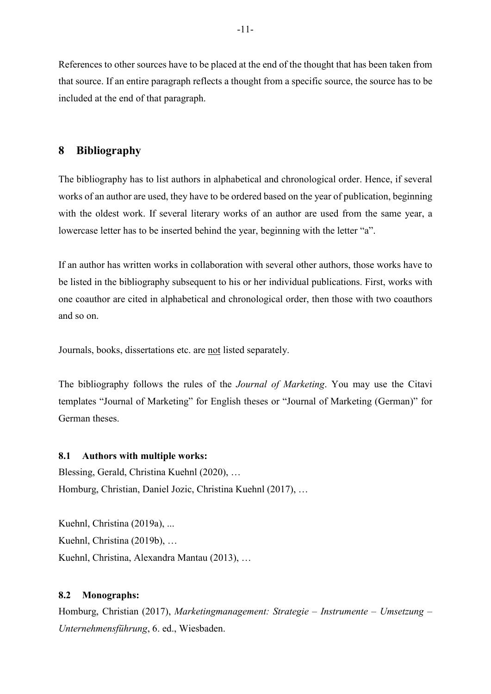References to other sources have to be placed at the end of the thought that has been taken from that source. If an entire paragraph reflects a thought from a specific source, the source has to be included at the end of that paragraph.

# <span id="page-10-0"></span>**8 Bibliography**

The bibliography has to list authors in alphabetical and chronological order. Hence, if several works of an author are used, they have to be ordered based on the year of publication, beginning with the oldest work. If several literary works of an author are used from the same year, a lowercase letter has to be inserted behind the year, beginning with the letter "a".

If an author has written works in collaboration with several other authors, those works have to be listed in the bibliography subsequent to his or her individual publications. First, works with one coauthor are cited in alphabetical and chronological order, then those with two coauthors and so on.

Journals, books, dissertations etc. are not listed separately.

The bibliography follows the rules of the *Journal of Marketing*. You may use the Citavi templates "Journal of Marketing" for English theses or "Journal of Marketing (German)" for German theses.

#### **8.1 Authors with multiple works:**

Blessing, Gerald, Christina Kuehnl (2020), … Homburg, Christian, Daniel Jozic, Christina Kuehnl (2017), …

Kuehnl, Christina (2019a), ... Kuehnl, Christina (2019b), … Kuehnl, Christina, Alexandra Mantau (2013), …

#### **8.2 Monographs:**

Homburg, Christian (2017), *Marketingmanagement: Strategie – Instrumente – Umsetzung – Unternehmensführung*, 6. ed., Wiesbaden.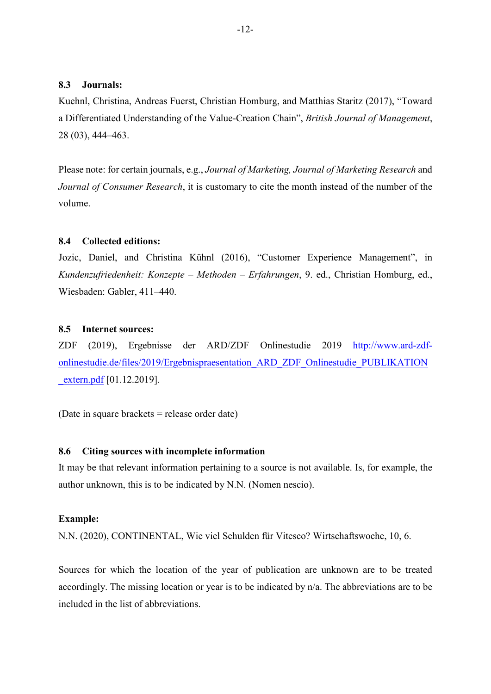#### **8.3 Journals:**

Kuehnl, Christina, Andreas Fuerst, Christian Homburg, and Matthias Staritz (2017), "Toward a Differentiated Understanding of the Value-Creation Chain", *British Journal of Management*, 28 (03), 444–463.

Please note: for certain journals, e.g., *Journal of Marketing, Journal of Marketing Research* and *Journal of Consumer Research*, it is customary to cite the month instead of the number of the volume.

# **8.4 Collected editions:**

Jozic, Daniel, and Christina Kühnl (2016), "Customer Experience Management", in *Kundenzufriedenheit: Konzepte – Methoden – Erfahrungen*, 9. ed., Christian Homburg, ed., Wiesbaden: Gabler, 411–440.

# **8.5 Internet sources:**

ZDF (2019), Ergebnisse der ARD/ZDF Onlinestudie 2019 [http://www.ard-zdf](http://www.ard-zdf-onlinestudie.de/files/2019/Ergebnispraesentation_ARD_ZDF_Onlinestudie_PUBLIKATION_extern.pdf)[onlinestudie.de/files/2019/Ergebnispraesentation\\_ARD\\_ZDF\\_Onlinestudie\\_PUBLIKATION](http://www.ard-zdf-onlinestudie.de/files/2019/Ergebnispraesentation_ARD_ZDF_Onlinestudie_PUBLIKATION_extern.pdf) [\\_extern.pdf](http://www.ard-zdf-onlinestudie.de/files/2019/Ergebnispraesentation_ARD_ZDF_Onlinestudie_PUBLIKATION_extern.pdf) [01.12.2019].

(Date in square brackets = release order date)

#### **8.6 Citing sources with incomplete information**

It may be that relevant information pertaining to a source is not available. Is, for example, the author unknown, this is to be indicated by N.N. (Nomen nescio).

#### **Example:**

N.N. (2020), CONTINENTAL, Wie viel Schulden für Vitesco? Wirtschaftswoche, 10, 6.

Sources for which the location of the year of publication are unknown are to be treated accordingly. The missing location or year is to be indicated by n/a. The abbreviations are to be included in the list of abbreviations.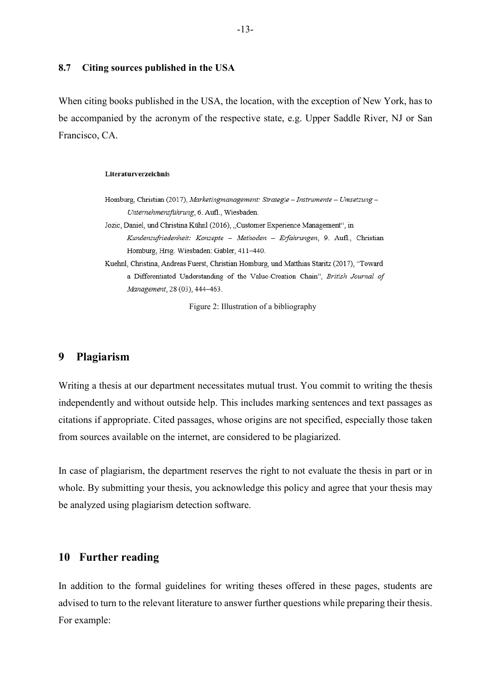#### **8.7 Citing sources published in the USA**

When citing books published in the USA, the location, with the exception of New York, has to be accompanied by the acronym of the respective state, e.g. Upper Saddle River, NJ or San Francisco, CA.

#### Literaturverzeichnis

- Homburg, Christian (2017), Marketingmanagement: Strategie Instrumente Umsetzung -Unternehmensführung, 6. Aufl., Wiesbaden.
- Jozic, Daniel, und Christina Kühnl (2016), "Customer Experience Management", in Kundenzufriedenheit: Konzepte - Methoden - Erfahrungen, 9. Aufl., Christian Homburg, Hrsg. Wiesbaden: Gabler, 411-440.
- Kuehnl, Christina, Andreas Fuerst, Christian Homburg, und Matthias Staritz (2017), "Toward a Differentiated Understanding of the Value-Creation Chain", British Journal of Management, 28 (03), 444-463.

Figure 2: Illustration of a bibliography

# <span id="page-12-0"></span>**9 Plagiarism**

Writing a thesis at our department necessitates mutual trust. You commit to writing the thesis independently and without outside help. This includes marking sentences and text passages as citations if appropriate. Cited passages, whose origins are not specified, especially those taken from sources available on the internet, are considered to be plagiarized.

In case of plagiarism, the department reserves the right to not evaluate the thesis in part or in whole. By submitting your thesis, you acknowledge this policy and agree that your thesis may be analyzed using plagiarism detection software.

### <span id="page-12-1"></span>**10 Further reading**

In addition to the formal guidelines for writing theses offered in these pages, students are advised to turn to the relevant literature to answer further questions while preparing their thesis. For example: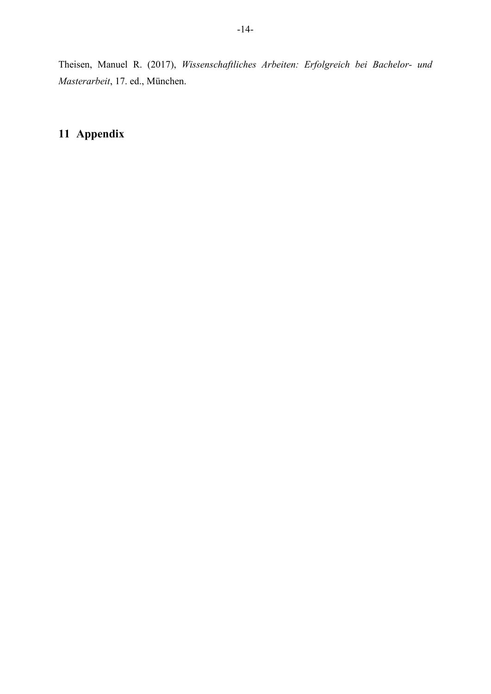Theisen, Manuel R. (2017), *Wissenschaftliches Arbeiten: Erfolgreich bei Bachelor- und Masterarbeit*, 17. ed., München.

# <span id="page-13-0"></span>**11 Appendix**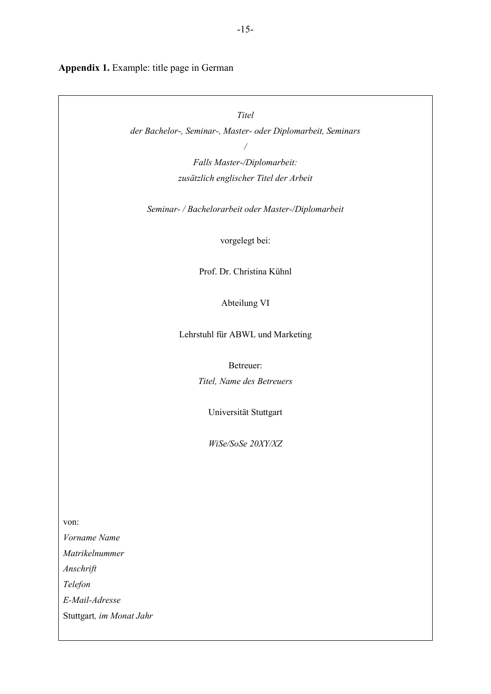**Appendix 1.** Example: title page in German

von:

*Titel der Bachelor-, Seminar-, Master- oder Diplomarbeit, Seminars / Falls Master-/Diplomarbeit: zusätzlich englischer Titel der Arbeit Seminar- / Bachelorarbeit oder Master-/Diplomarbeit* vorgelegt bei: Prof. Dr. Christina Kühnl Abteilung VI Lehrstuhl für ABWL und Marketing Betreuer: *Titel, Name des Betreuers* Universität Stuttgart *WiSe/SoSe 20XY/XZ Vorname Name Matrikelnummer Anschrift Telefon E-Mail-Adresse* Stuttgart*, im Monat Jahr*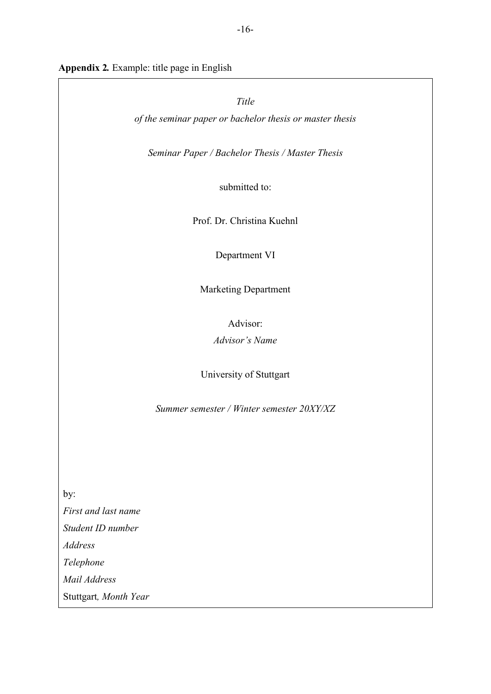# **Appendix 2***.* Example: title page in English

|                       | Title                                                    |
|-----------------------|----------------------------------------------------------|
|                       | of the seminar paper or bachelor thesis or master thesis |
|                       |                                                          |
|                       | Seminar Paper / Bachelor Thesis / Master Thesis          |
|                       | submitted to:                                            |
|                       | Prof. Dr. Christina Kuehnl                               |
|                       | Department VI                                            |
|                       | <b>Marketing Department</b>                              |
|                       | Advisor:                                                 |
|                       | <b>Advisor's Name</b>                                    |
|                       | University of Stuttgart                                  |
|                       | Summer semester / Winter semester 20XY/XZ                |
|                       |                                                          |
|                       |                                                          |
|                       |                                                          |
| by:                   |                                                          |
| First and last name   |                                                          |
| Student ID number     |                                                          |
| <b>Address</b>        |                                                          |
| Telephone             |                                                          |
| Mail Address          |                                                          |
| Stuttgart, Month Year |                                                          |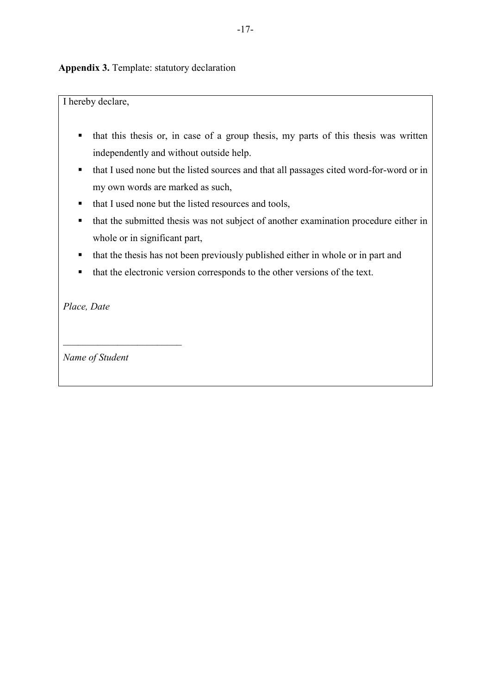**Appendix 3.** Template: statutory declaration

I hereby declare,

- $\blacksquare$  that this thesis or, in case of a group thesis, my parts of this thesis was written independently and without outside help.
- that I used none but the listed sources and that all passages cited word-for-word or in my own words are marked as such,
- that I used none but the listed resources and tools,
- that the submitted thesis was not subject of another examination procedure either in whole or in significant part,
- that the thesis has not been previously published either in whole or in part and
- that the electronic version corresponds to the other versions of the text.

*Place, Date*

*Name of Student*

\_\_\_\_\_\_\_\_\_\_\_\_\_\_\_\_\_\_\_\_\_\_\_\_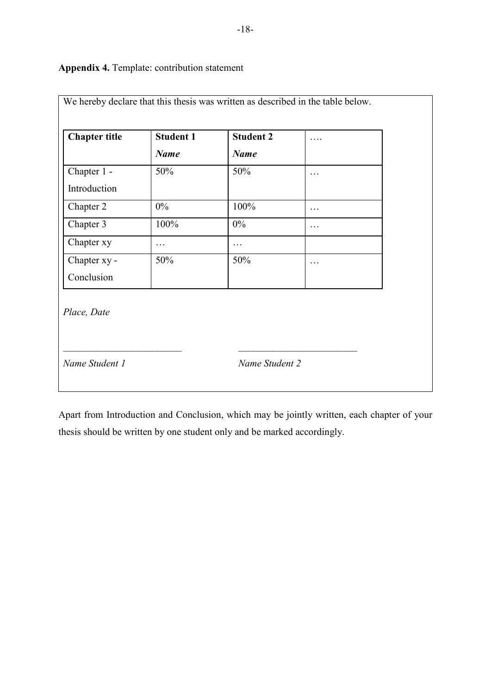# We hereby declare that this thesis was written as described in the table below. **Chapter title Student 1** *Name* **Student 2** *Name* …. Chapter 1 - Introduction 50% 50% … Chapter 2 0% 100% ... Chapter 3 100% 0% ... Chapter xy … Chapter xy - Conclusion 50% 50% … *Place, Date* \_\_\_\_\_\_\_\_\_\_\_\_\_\_\_\_\_\_\_\_\_\_\_\_ \_\_\_\_\_\_\_\_\_\_\_\_\_\_\_\_\_\_\_\_\_\_\_\_ *Name Student 1 Name Student 2*

# **Appendix 4.** Template: contribution statement

Apart from Introduction and Conclusion, which may be jointly written, each chapter of your thesis should be written by one student only and be marked accordingly.